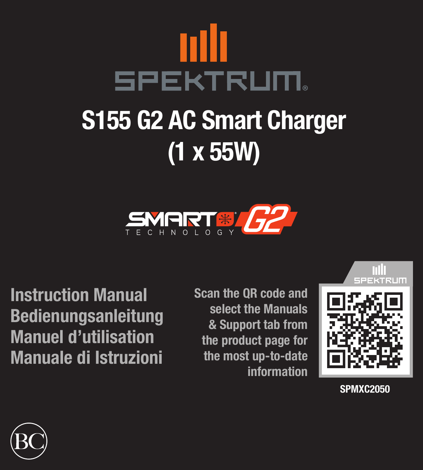

# S155 G2 AC Smart Charger (1 x 55W)



Instruction Manual Bedienungsanleitung Manuel d'utilisation Manuale di Istruzioni Scan the QR code and select the Manuals & Support tab from the product page for the most up-to-date information



SPMXC2050

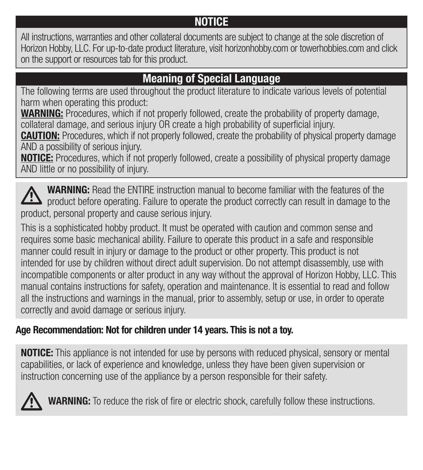#### NOTICE

All instructions, warranties and other collateral documents are subject to change at the sole discretion of Horizon Hobby, LLC. For up-to-date product literature, visit horizonhobby.com or towerhobbies.com and click on the support or resources tab for this product.

#### Meaning of Special Language

The following terms are used throughout the product literature to indicate various levels of potential harm when operating this product:

WARNING: Procedures, which if not properly followed, create the probability of property damage, collateral damage, and serious injury OR create a high probability of superficial injury.

**CAUTION:** Procedures, which if not properly followed, create the probability of physical property damage AND a possibility of serious injury.

NOTICE: Procedures, which if not properly followed, create a possibility of physical property damage AND little or no possibility of injury.

WARNING: Read the ENTIRE instruction manual to become familiar with the features of the  $\sum$  product before operating. Failure to operate the product correctly can result in damage to the product, personal property and cause serious injury.

This is a sophisticated hobby product. It must be operated with caution and common sense and requires some basic mechanical ability. Failure to operate this product in a safe and responsible manner could result in injury or damage to the product or other property. This product is not intended for use by children without direct adult supervision. Do not attempt disassembly, use with incompatible components or alter product in any way without the approval of Horizon Hobby, LLC. This manual contains instructions for safety, operation and maintenance. It is essential to read and follow all the instructions and warnings in the manual, prior to assembly, setup or use, in order to operate correctly and avoid damage or serious injury.

#### Age Recommendation: Not for children under 14 years. This is not a toy.

**NOTICE:** This appliance is not intended for use by persons with reduced physical, sensory or mental capabilities, or lack of experience and knowledge, unless they have been given supervision or instruction concerning use of the appliance by a person responsible for their safety.



WARNING: To reduce the risk of fire or electric shock, carefully follow these instructions.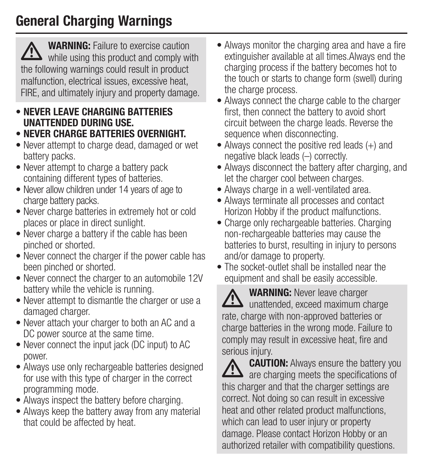#### General Charging Warnings

WARNING: Failure to exercise caution  $\mathbf{B}$  while using this product and comply with the following warnings could result in product malfunction, electrical issues, excessive heat, FIRE, and ultimately injury and property damage.

- NEVER LEAVE CHARGING BATTERIES UNATTENDED DURING USE.
- NEVER CHARGE BATTERIES OVERNIGHT.
- Never attempt to charge dead, damaged or wet battery packs.
- Never attempt to charge a battery pack containing different types of batteries.
- Never allow children under 14 years of age to charge battery packs.
- Never charge batteries in extremely hot or cold places or place in direct sunlight.
- Never charge a battery if the cable has been pinched or shorted.
- Never connect the charger if the power cable has been pinched or shorted.
- Never connect the charger to an automobile 12V battery while the vehicle is running.
- Never attempt to dismantle the charger or use a damaged charger.
- Never attach your charger to both an AC and a DC power source at the same time.
- Never connect the input jack (DC input) to AC power.
- Always use only rechargeable batteries designed for use with this type of charger in the correct programming mode.
- Always inspect the battery before charging.
- Always keep the battery away from any material that could be affected by heat.
- Always monitor the charging area and have a fire extinguisher available at all times.Always end the charging process if the battery becomes hot to the touch or starts to change form (swell) during the charge process.
- Always connect the charge cable to the charger first, then connect the battery to avoid short circuit between the charge leads. Reverse the sequence when disconnecting.
- Always connect the positive red leads (+) and negative black leads (–) correctly.
- Always disconnect the battery after charging, and let the charger cool between charges.
- Always charge in a well-ventilated area.
- Always terminate all processes and contact Horizon Hobby if the product malfunctions.
- Charge only rechargeable batteries. Charging non-rechargeable batteries may cause the batteries to burst, resulting in injury to persons and/or damage to property.
- The socket-outlet shall be installed near the equipment and shall be easily accessible.
- WARNING: Never leave charger  $\angle$  unattended, exceed maximum charge rate, charge with non-approved batteries or charge batteries in the wrong mode. Failure to comply may result in excessive heat, fire and serious injury.

**CAUTION:** Always ensure the battery you **2.5** are charging meets the specifications of this charger and that the charger settings are correct. Not doing so can result in excessive heat and other related product malfunctions, which can lead to user injury or property damage. Please contact Horizon Hobby or an authorized retailer with compatibility questions.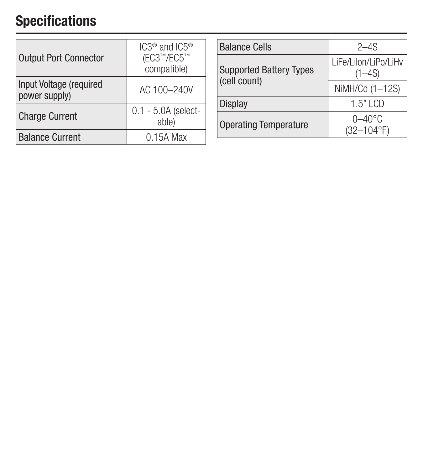#### Specifications

| <b>Output Port Connector</b>             | $IC3®$ and $IC5®$<br>(EC3™/EC5™<br>compatible) |  |
|------------------------------------------|------------------------------------------------|--|
| Input Voltage (required<br>power supply) | AC 100-240V                                    |  |
| <b>Charge Current</b>                    | $0.1 - 5.0A$ (select-<br>able)                 |  |
| <b>Balance Current</b>                   | 0.15A Max                                      |  |

| <b>Balance Cells</b>           | $2 - 4S$                           |  |
|--------------------------------|------------------------------------|--|
| <b>Supported Battery Types</b> | LiFe/Lilon/LiPo/LiHv<br>$(1 - 4S)$ |  |
| (cell count)                   | NiMH/Cd (1-12S)                    |  |
| Display                        | $1.5"$ LCD                         |  |
| <b>Operating Temperature</b>   | 0–40°C<br>$(32 - 104$ °F)          |  |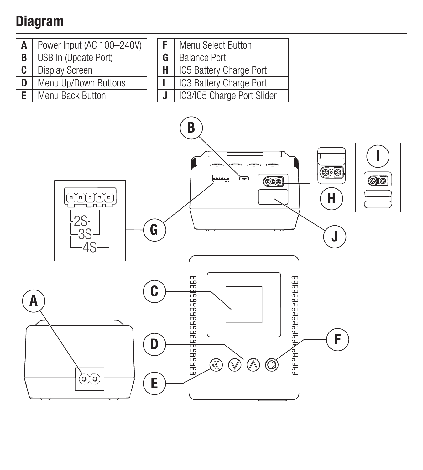#### Diagram

- A Power Input (AC 100–240V) **B** USB In (Update Port)
- **C** | Display Screen
- **D** Menu Up/Down Buttons
- Menu Back Button

| F.      | Menu Select Button         |
|---------|----------------------------|
| G       | <b>Balance Port</b>        |
| H       | IC5 Battery Charge Port    |
|         | IC3 Battery Charge Port    |
| $\cdot$ | IC3/IC5 Charge Port Slider |

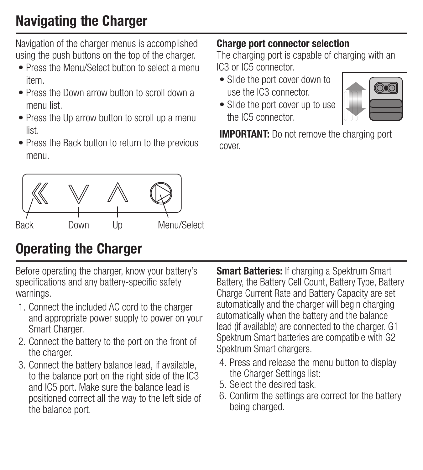#### Navigating the Charger

Navigation of the charger menus is accomplished using the push buttons on the top of the charger.

- Press the Menu/Select button to select a menu item.
- Press the Down arrow button to scroll down a menu list.
- Press the Up arrow button to scroll up a menu list.
- Press the Back button to return to the previous menu.



#### Operating the Charger

Before operating the charger, know your battery's specifications and any battery-specific safety warnings.

- 1. Connect the included AC cord to the charger and appropriate power supply to power on your Smart Charger.
- 2. Connect the battery to the port on the front of the charger.
- 3. Connect the battery balance lead, if available, to the balance port on the right side of the IC3 and IC5 port. Make sure the balance lead is positioned correct all the way to the left side of the balance port.

**Smart Batteries:** If charging a Spektrum Smart Battery, the Battery Cell Count, Battery Type, Battery Charge Current Rate and Battery Capacity are set automatically and the charger will begin charging automatically when the battery and the balance lead (if available) are connected to the charger. G1 Spektrum Smart batteries are compatible with G2 Spektrum Smart chargers.

- 4. Press and release the menu button to display the Charger Settings list:
- 5. Select the desired task.
- 6. Confirm the settings are correct for the battery being charged.

#### Charge port connector selection

The charging port is capable of charging with an IC3 or IC5 connector.

- Slide the port cover down to use the IC3 connector.
- Slide the port cover up to use the IC5 connector



**IMPORTANT:** Do not remove the charging port cover.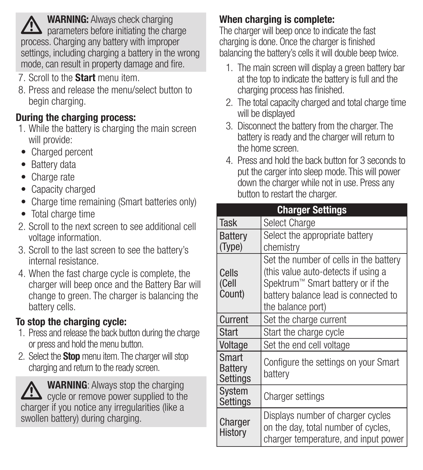WARNING: Always check charging parameters before initiating the charge process. Charging any battery with improper settings, including charging a battery in the wrong mode, can result in property damage and fire.

- 7. Scroll to the **Start** menu item.
- 8. Press and release the menu/select button to begin charging.

#### During the charging process:

- 1. While the battery is charging the main screen will provide:
- Charged percent
- Battery data
- Charge rate
- Capacity charged
- Charge time remaining (Smart batteries only)
- Total charge time
- 2. Scroll to the next screen to see additional cell voltage information.
- 3. Scroll to the last screen to see the battery's internal resistance.
- 4. When the fast charge cycle is complete, the charger will beep once and the Battery Bar will change to green. The charger is balancing the battery cells.

#### To stop the charging cycle:

- 1. Press and release the back button during the charge or press and hold the menu button.
- 2. Select the **Stop** menu item. The charger will stop charging and return to the ready screen.

WARNING: Always stop the charging  $\sum$  cycle or remove power supplied to the charger if you notice any irregularities (like a swollen battery) during charging.

#### When charging is complete:

The charger will beep once to indicate the fast charging is done. Once the charger is finished balancing the battery's cells it will double beep twice.

- 1. The main screen will display a green battery bar at the top to indicate the battery is full and the charging process has finished.
- 2. The total capacity charged and total charge time will be displayed
- 3. Disconnect the battery from the charger. The battery is ready and the charger will return to the home screen.
- 4. Press and hold the back button for 3 seconds to put the carger into sleep mode. This will power down the charger while not in use. Press any button to restart the charger.

|                              | <b>Charger Settings</b>                                                                                                                                                         |
|------------------------------|---------------------------------------------------------------------------------------------------------------------------------------------------------------------------------|
| <b>Task</b>                  | Select Charge                                                                                                                                                                   |
| <b>Battery</b><br>(Type)     | Select the appropriate battery<br>chemistry                                                                                                                                     |
| Cells<br>(Cell<br>Count)     | Set the number of cells in the battery<br>(this value auto-detects if using a<br>Spektrum™ Smart battery or if the<br>battery balance lead is connected to<br>the balance port) |
| Current                      | Set the charge current                                                                                                                                                          |
| Start                        | Start the charge cycle                                                                                                                                                          |
| Voltage                      | Set the end cell voltage                                                                                                                                                        |
| Smart<br>Battery<br>Settings | Configure the settings on your Smart<br>battery                                                                                                                                 |
| System<br>Settings           | Charger settings                                                                                                                                                                |
| Charger<br>History           | Displays number of charger cycles<br>on the day, total number of cycles,<br>charger temperature, and input power                                                                |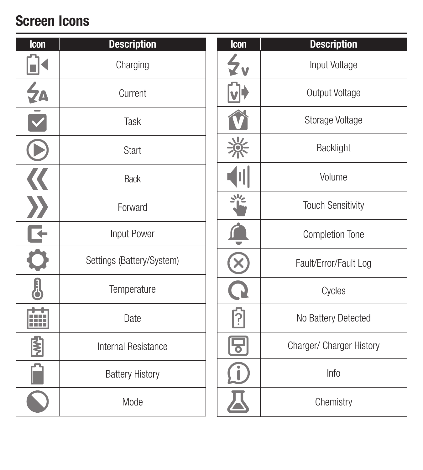## Screen Icons

| Icon | <b>Description</b>        | Icon               | <b>Description</b>       |
|------|---------------------------|--------------------|--------------------------|
|      | Charging                  | $\zeta_{\text{y}}$ | Input Voltage            |
| 44   | Current                   |                    | Output Voltage           |
|      | Task                      |                    | Storage Voltage          |
|      | Start                     | -ဂ                 | Backlight                |
|      | <b>Back</b>               |                    | Volume                   |
|      | Forward                   | يران               | <b>Touch Sensitivity</b> |
|      | Input Power               |                    | Completion Tone          |
|      | Settings (Battery/System) |                    | Fault/Error/Fault Log    |
| Į    | Temperature               |                    | Cycles                   |
| Ħ    | Date                      | ု                  | No Battery Detected      |
| ₿    | Internal Resistance       | 'ত                 | Charger/ Charger History |
|      | <b>Battery History</b>    |                    | Info                     |
|      | Mode                      |                    | Chemistry                |
|      |                           |                    |                          |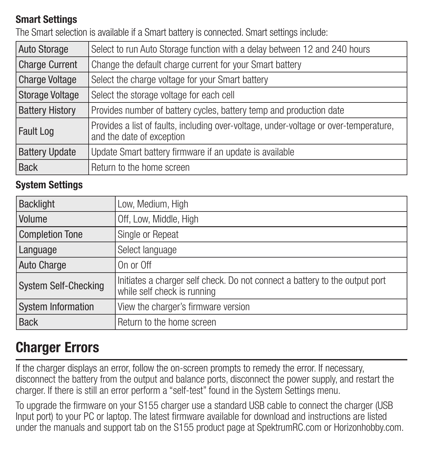#### Smart Settings

The Smart selection is available if a Smart battery is connected. Smart settings include:

| <b>Auto Storage</b>    | Select to run Auto Storage function with a delay between 12 and 240 hours                                          |
|------------------------|--------------------------------------------------------------------------------------------------------------------|
| <b>Charge Current</b>  | Change the default charge current for your Smart battery                                                           |
| <b>Charge Voltage</b>  | Select the charge voltage for your Smart battery                                                                   |
| <b>Storage Voltage</b> | Select the storage voltage for each cell                                                                           |
| <b>Battery History</b> | Provides number of battery cycles, battery temp and production date                                                |
| <b>Fault Log</b>       | Provides a list of faults, including over-voltage, under-voltage or over-temperature,<br>and the date of exception |
| <b>Battery Update</b>  | Update Smart battery firmware if an update is available                                                            |
| <b>Back</b>            | Return to the home screen                                                                                          |

#### System Settings

| <b>Backlight</b>            | Low, Medium, High                                                                                          |
|-----------------------------|------------------------------------------------------------------------------------------------------------|
| Volume                      | Off, Low, Middle, High                                                                                     |
| <b>Completion Tone</b>      | Single or Repeat                                                                                           |
| Language                    | Select language                                                                                            |
| Auto Charge                 | On or Off                                                                                                  |
| <b>System Self-Checking</b> | Initiates a charger self check. Do not connect a battery to the output port<br>while self check is running |
| <b>System Information</b>   | View the charger's firmware version                                                                        |
| <b>Back</b>                 | Return to the home screen                                                                                  |

#### Charger Errors

If the charger displays an error, follow the on-screen prompts to remedy the error. If necessary, disconnect the battery from the output and balance ports, disconnect the power supply, and restart the charger. If there is still an error perform a "self-test" found in the System Settings menu.

To upgrade the firmware on your S155 charger use a standard USB cable to connect the charger (USB Input port) to your PC or laptop. The latest firmware available for download and instructions are listed under the manuals and support tab on the S155 product page at SpektrumRC.com or Horizonhobby.com.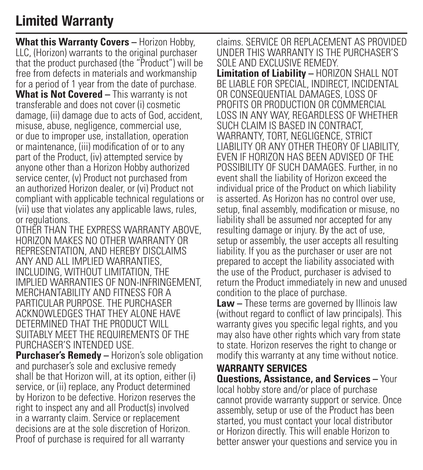#### Limited Warranty

**What this Warranty Covers –** Horizon Hobby, LLC, (Horizon) warrants to the original purchaser that the product purchased (the "Product") will be free from defects in materials and workmanship for a period of 1 year from the date of purchase. **What is Not Covered –** This warranty is not transferable and does not cover (i) cosmetic damage, (ii) damage due to acts of God, accident, misuse, abuse, negligence, commercial use, or due to improper use, installation, operation or maintenance, (iii) modification of or to any part of the Product, (iv) attempted service by anyone other than a Horizon Hobby authorized service center, (v) Product not purchased from an authorized Horizon dealer, or (vi) Product not compliant with applicable technical regulations or (vii) use that violates any applicable laws, rules, or regulations.

OTHER THAN THE EXPRESS WARRANTY ABOVE, HORIZON MAKES NO OTHER WARRANTY OR REPRESENTATION, AND HEREBY DISCLAIMS ANY AND ALL IMPLIED WARRANTIES, INCLUDING, WITHOUT LIMITATION, THE IMPLIED WARRANTIES OF NON-INFRINGEMENT MERCHANTABILITY AND FITNESS FOR A PARTICULAR PURPOSE. THE PURCHASER ACKNOWLEDGES THAT THEY ALONE HAVE DETERMINED THAT THE PRODUCT WILL SUITABLY MEET THE REQUIREMENTS OF THE PURCHASER'S INTENDED USE.

**Purchaser's Remedy – Horizon's sole obligation** and purchaser's sole and exclusive remedy shall be that Horizon will, at its option, either (i) service, or (ii) replace, any Product determined by Horizon to be defective. Horizon reserves the right to inspect any and all Product(s) involved in a warranty claim. Service or replacement decisions are at the sole discretion of Horizon. Proof of purchase is required for all warranty

claims. SERVICE OR REPLACEMENT AS PROVIDED UNDER THIS WARRANTY IS THE PURCHASER'S SOLE AND EXCLUSIVE REMEDY. **Limitation of Liability –** HORIZON SHALL NOT BE LIABLE FOR SPECIAL, INDIRECT, INCIDENTAL OR CONSEQUENTIAL DAMAGES, LOSS OF PROFITS OR PRODUCTION OR COMMERCIAL LOSS IN ANY WAY, REGARDLESS OF WHETHER SUCH CLAIM IS BASED IN CONTRACT, WARRANTY, TORT, NEGLIGENCE, STRICT LIABILITY OR ANY OTHER THEORY OF LIABILITY, EVEN IF HORIZON HAS BEEN ADVISED OF THE POSSIBILITY OF SUCH DAMAGES. Further, in no event shall the liability of Horizon exceed the individual price of the Product on which liability is asserted. As Horizon has no control over use. setup, final assembly, modification or misuse, no liability shall be assumed nor accepted for any resulting damage or injury. By the act of use, setup or assembly, the user accepts all resulting liability. If you as the purchaser or user are not prepared to accept the liability associated with the use of the Product, purchaser is advised to return the Product immediately in new and unused condition to the place of purchase.

**Law –** These terms are governed by Illinois law (without regard to conflict of law principals). This warranty gives you specific legal rights, and you may also have other rights which vary from state to state. Horizon reserves the right to change or modify this warranty at any time without notice.

#### WARRANTY SERVICES

**Questions, Assistance, and Services –** Your local hobby store and/or place of purchase cannot provide warranty support or service. Once assembly, setup or use of the Product has been started, you must contact your local distributor or Horizon directly. This will enable Horizon to better answer your questions and service you in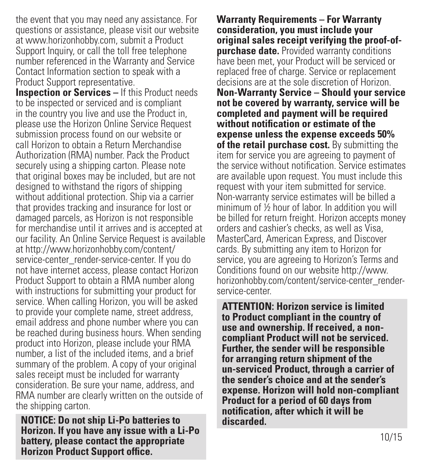the event that you may need any assistance. For questions or assistance, please visit our website at www.horizonhobby.com, submit a Product Support Inquiry, or call the toll free telephone number referenced in the Warranty and Service Contact Information section to speak with a Product Support representative.

**Inspection or Services – If this Product needs** to be inspected or serviced and is compliant in the country you live and use the Product in, please use the Horizon Online Service Request submission process found on our website or call Horizon to obtain a Return Merchandise Authorization (RMA) number. Pack the Product securely using a shipping carton. Please note that original boxes may be included, but are not designed to withstand the rigors of shipping without additional protection. Ship via a carrier that provides tracking and insurance for lost or damaged parcels, as Horizon is not responsible for merchandise until it arrives and is accepted at our facility. An Online Service Request is available at http://www.horizonhobby.com/content/ service-center\_render-service-center. If you do not have internet access, please contact Horizon Product Support to obtain a RMA number along with instructions for submitting your product for service. When calling Horizon, you will be asked to provide your complete name, street address, email address and phone number where you can be reached during business hours. When sending product into Horizon, please include your RMA number, a list of the included items, and a brief summary of the problem. A copy of your original sales receipt must be included for warranty consideration. Be sure your name, address, and RMA number are clearly written on the outside of the shipping carton.

**NOTICE: Do not ship Li-Po batteries to Horizon. If you have any issue with a Li-Po battery, please contact the appropriate Horizon Product Support office.**

**Warranty Requirements – For Warranty consideration, you must include your original sales receipt verifying the proof-ofpurchase date.** Provided warranty conditions have been met, your Product will be serviced or replaced free of charge. Service or replacement decisions are at the sole discretion of Horizon. **Non-Warranty Service – Should your service not be covered by warranty, service will be completed and payment will be required without notification or estimate of the expense unless the expense exceeds 50% of the retail purchase cost.** By submitting the item for service you are agreeing to payment of the service without notification. Service estimates are available upon request. You must include this request with your item submitted for service. Non-warranty service estimates will be billed a minimum of ½ hour of labor. In addition you will be billed for return freight. Horizon accepts money orders and cashier's checks, as well as Visa, MasterCard, American Express, and Discover cards. By submitting any item to Horizon for service, you are agreeing to Horizon's Terms and Conditions found on our website http://www. horizonhobby.com/content/service-center\_renderservice-center.

**ATTENTION: Horizon service is limited to Product compliant in the country of use and ownership. If received, a noncompliant Product will not be serviced. Further, the sender will be responsible for arranging return shipment of the un-serviced Product, through a carrier of the sender's choice and at the sender's expense. Horizon will hold non-compliant Product for a period of 60 days from notification, after which it will be discarded.**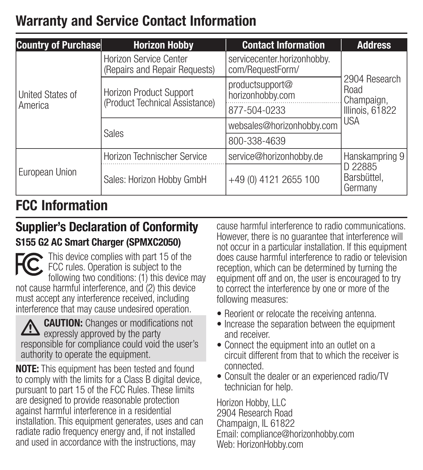#### Warranty and Service Contact Information

| <b>Country of Purchase</b>  | <b>Horizon Hobby</b>                                      | <b>Contact Information</b>                          | <b>Address</b>                                         |  |
|-----------------------------|-----------------------------------------------------------|-----------------------------------------------------|--------------------------------------------------------|--|
| United States of<br>America | Horizon Service Center<br>(Repairs and Repair Requests)   | servicecenter.horizonhobby.<br>com/RequestForm/     | 2904 Research<br>Road<br>Champaign,<br>Illinois, 61822 |  |
|                             | Horizon Product Support<br>(Product Technical Assistance) | productsupport@<br>horizonhobby.com<br>877-504-0233 |                                                        |  |
|                             | <b>Sales</b>                                              | websales@horizonhobby.com                           | <b>USA</b>                                             |  |
|                             |                                                           | 800-338-4639                                        |                                                        |  |
| European Union              | Horizon Technischer Service                               | service@horizonhobby.de                             | Hanskampring 9                                         |  |
|                             | Sales: Horizon Hobby GmbH                                 | +49 (0) 4121 2655 100                               | D 22885<br>Barsbüttel,<br>Germany                      |  |

#### FCC Information

#### Supplier's Declaration of Conformity S155 G2 AC Smart Charger (SPMXC2050)

This device complies with part 15 of the FCC rules. Operation is subject to the following two conditions: (1) this device may not cause harmful interference, and (2) this device must accept any interference received, including interference that may cause undesired operation.



**CAUTION:** Changes or modifications not  $\Box$  expressly approved by the party responsible for compliance could void the user's authority to operate the equipment.

NOTE: This equipment has been tested and found to comply with the limits for a Class B digital device, pursuant to part 15 of the FCC Rules. These limits are designed to provide reasonable protection against harmful interference in a residential installation. This equipment generates, uses and can radiate radio frequency energy and, if not installed and used in accordance with the instructions, may

cause harmful interference to radio communications. However, there is no guarantee that interference will not occur in a particular installation. If this equipment does cause harmful interference to radio or television reception, which can be determined by turning the equipment off and on, the user is encouraged to try to correct the interference by one or more of the following measures:

- Reorient or relocate the receiving antenna.
- Increase the separation between the equipment and receiver.
- Connect the equipment into an outlet on a circuit different from that to which the receiver is connected.
- Consult the dealer or an experienced radio/TV technician for help.

Horizon Hobby, LLC 2904 Research Road Champaign, IL 61822 Email: compliance@horizonhobby.com Web: HorizonHobby.com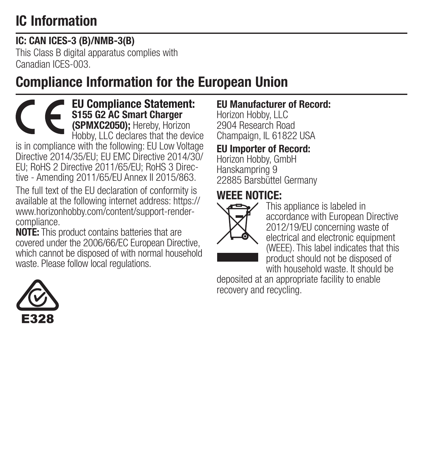### IC Information

#### IC: CAN ICES-3 (B)/NMB-3(B)

This Class B digital apparatus complies with Canadian ICES-003.

#### Compliance Information for the European Union

EU Compliance Statement: S155 G2 AC Smart Charger (SPMXC2050); Hereby, Horizon Hobby, LLC declares that the device is in compliance with the following: EU Low Voltage Directive 2014/35/EU; EU EMC Directive 2014/30/ EU; RoHS 2 Directive 2011/65/EU; RoHS 3 Directive - Amending 2011/65/EU Annex II 2015/863. The full text of the EU declaration of conformity is available at the following internet address: https://

www.horizonhobby.com/content/support-rendercompliance.

NOTE: This product contains batteries that are covered under the 2006/66/EC European Directive, which cannot be disposed of with normal household waste. Please follow local regulations.

#### EU Manufacturer of Record:

Horizon Hobby, LLC 2904 Research Road Champaign, IL 61822 USA

#### EU Importer of Record:

Horizon Hobby, GmbH Hanskampring 9 22885 Barsbüttel Germany

#### WEEE NOTICE:



This appliance is labeled in accordance with European Directive 2012/19/EU concerning waste of electrical and electronic equipment (WEEE). This label indicates that this product should not be disposed of with household waste. It should be

deposited at an appropriate facility to enable recovery and recycling.